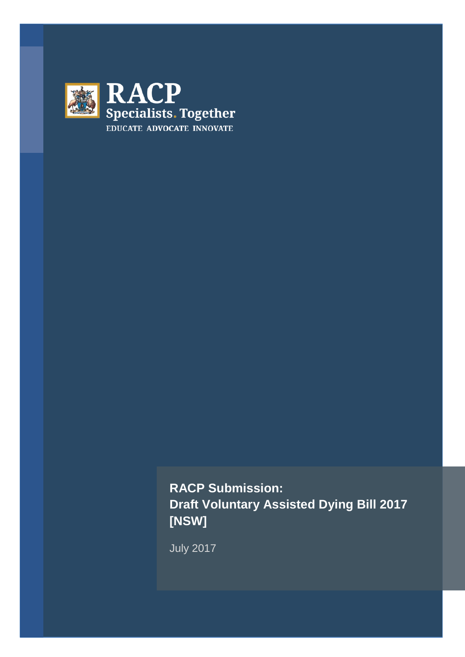

**RACP Submission: Draft Voluntary Assisted Dying Bill 2017 [NSW]**

July 2017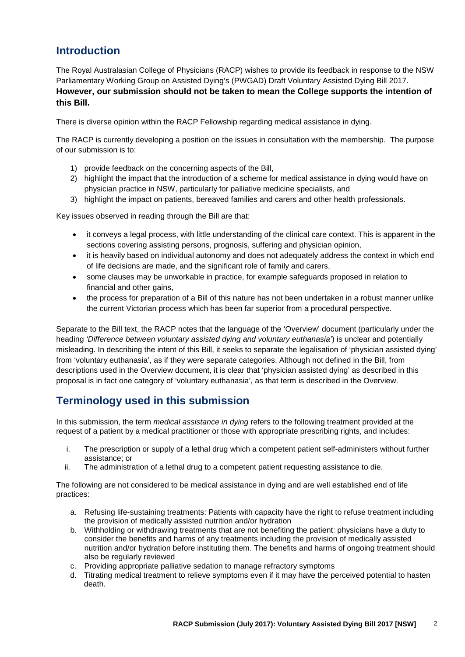## **Introduction**

The Royal Australasian College of Physicians (RACP) wishes to provide its feedback in response to the NSW Parliamentary Working Group on Assisted Dying's (PWGAD) Draft Voluntary Assisted Dying Bill 2017. **However, our submission should not be taken to mean the College supports the intention of this Bill.** 

There is diverse opinion within the RACP Fellowship regarding medical assistance in dying.

The RACP is currently developing a position on the issues in consultation with the membership. The purpose of our submission is to:

- 1) provide feedback on the concerning aspects of the Bill,
- 2) highlight the impact that the introduction of a scheme for medical assistance in dying would have on physician practice in NSW, particularly for palliative medicine specialists, and
- 3) highlight the impact on patients, bereaved families and carers and other health professionals.

Key issues observed in reading through the Bill are that:

- it conveys a legal process, with little understanding of the clinical care context. This is apparent in the sections covering assisting persons, prognosis, suffering and physician opinion,
- it is heavily based on individual autonomy and does not adequately address the context in which end of life decisions are made, and the significant role of family and carers,
- some clauses may be unworkable in practice, for example safeguards proposed in relation to financial and other gains,
- the process for preparation of a Bill of this nature has not been undertaken in a robust manner unlike the current Victorian process which has been far superior from a procedural perspective.

Separate to the Bill text, the RACP notes that the language of the 'Overview' document (particularly under the heading *'Difference between voluntary assisted dying and voluntary euthanasia'*) is unclear and potentially misleading. In describing the intent of this Bill, it seeks to separate the legalisation of 'physician assisted dying' from 'voluntary euthanasia', as if they were separate categories. Although not defined in the Bill, from descriptions used in the Overview document, it is clear that 'physician assisted dying' as described in this proposal is in fact one category of 'voluntary euthanasia', as that term is described in the Overview.

## **Terminology used in this submission**

In this submission, the term *medical assistance in dying* refers to the following treatment provided at the request of a patient by a medical practitioner or those with appropriate prescribing rights, and includes:

- i. The prescription or supply of a lethal drug which a competent patient self-administers without further assistance; or
- ii. The administration of a lethal drug to a competent patient requesting assistance to die.

The following are not considered to be medical assistance in dying and are well established end of life practices:

- a. Refusing life-sustaining treatments: Patients with capacity have the right to refuse treatment including the provision of medically assisted nutrition and/or hydration
- b. Withholding or withdrawing treatments that are not benefiting the patient: physicians have a duty to consider the benefits and harms of any treatments including the provision of medically assisted nutrition and/or hydration before instituting them. The benefits and harms of ongoing treatment should also be regularly reviewed
- c. Providing appropriate palliative sedation to manage refractory symptoms
- d. Titrating medical treatment to relieve symptoms even if it may have the perceived potential to hasten death.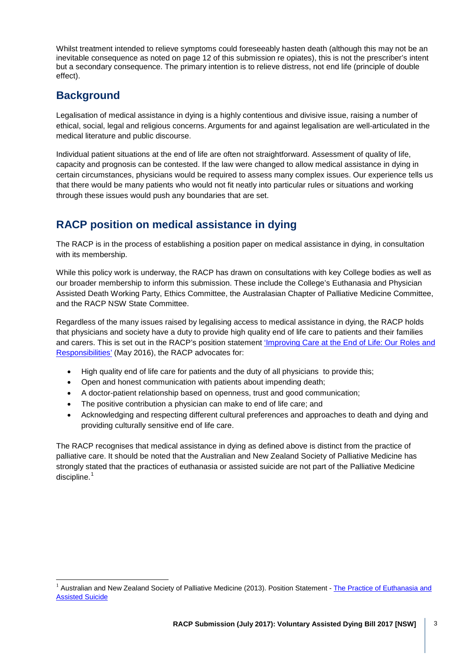Whilst treatment intended to relieve symptoms could foreseeably hasten death (although this may not be an inevitable consequence as noted on page 12 of this submission re opiates), this is not the prescriber's intent but a secondary consequence. The primary intention is to relieve distress, not end life (principle of double effect).

## **Background**

Legalisation of medical assistance in dying is a highly contentious and divisive issue, raising a number of ethical, social, legal and religious concerns. Arguments for and against legalisation are well-articulated in the medical literature and public discourse.

Individual patient situations at the end of life are often not straightforward. Assessment of quality of life, capacity and prognosis can be contested. If the law were changed to allow medical assistance in dying in certain circumstances, physicians would be required to assess many complex issues. Our experience tells us that there would be many patients who would not fit neatly into particular rules or situations and working through these issues would push any boundaries that are set.

## **RACP position on medical assistance in dying**

The RACP is in the process of establishing a position paper on medical assistance in dying, in consultation with its membership.

While this policy work is underway, the RACP has drawn on consultations with key College bodies as well as our broader membership to inform this submission. These include the College's Euthanasia and Physician Assisted Death Working Party, Ethics Committee, the Australasian Chapter of Palliative Medicine Committee, and the RACP NSW State Committee.

Regardless of the many issues raised by legalising access to medical assistance in dying, the RACP holds that physicians and society have a duty to provide high quality end of life care to patients and their families and carers. This is set out in the RACP's position statement ['Improving Care at the End of Life: Our Roles and](https://www.racp.edu.au/docs/default-source/advocacy-library/pa-pos-end-of-life-position-statement.pdf)  [Responsibilities'](https://www.racp.edu.au/docs/default-source/advocacy-library/pa-pos-end-of-life-position-statement.pdf) (May 2016), the RACP advocates for:

- High quality end of life care for patients and the duty of all physicians to provide this;
- Open and honest communication with patients about impending death;
- A doctor-patient relationship based on openness, trust and good communication;
- The positive contribution a physician can make to end of life care; and
- Acknowledging and respecting different cultural preferences and approaches to death and dying and providing culturally sensitive end of life care.

The RACP recognises that medical assistance in dying as defined above is distinct from the practice of palliative care. It should be noted that the Australian and New Zealand Society of Palliative Medicine has strongly stated that the practices of euthanasia or assisted suicide are not part of the Palliative Medicine discipline.<sup>[1](#page-2-0)</sup>

<span id="page-2-0"></span><sup>1</sup> Australian and New Zealand Society of Palliative Medicine (2013). Position Statement - The Practice of Euthanasia and **Assisted Suicide**  $\frac{1}{1}$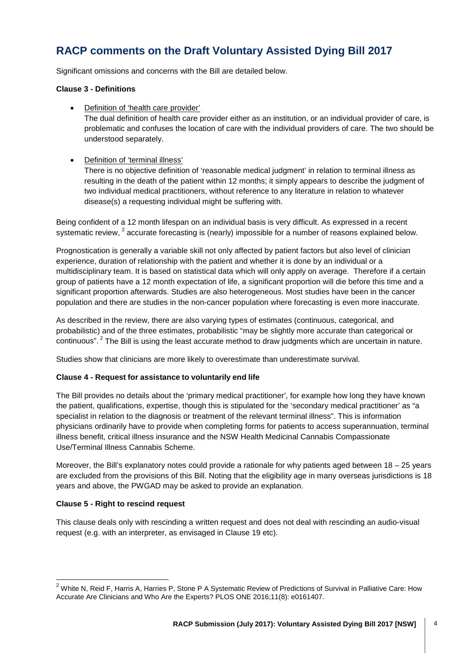# **RACP comments on the Draft Voluntary Assisted Dying Bill 2017**

Significant omissions and concerns with the Bill are detailed below.

### **Clause 3 - Definitions**

• Definition of 'health care provider'

The dual definition of health care provider either as an institution, or an individual provider of care, is problematic and confuses the location of care with the individual providers of care. The two should be understood separately.

• Definition of 'terminal illness'

There is no objective definition of 'reasonable medical judgment' in relation to terminal illness as resulting in the death of the patient within 12 months; it simply appears to describe the judgment of two individual medical practitioners, without reference to any literature in relation to whatever disease(s) a requesting individual might be suffering with.

Being confident of a 12 month lifespan on an individual basis is very difficult. As expressed in a recent systematic review,  $2$  accurate forecasting is (nearly) impossible for a number of reasons explained below.

Prognostication is generally a variable skill not only affected by patient factors but also level of clinician experience, duration of relationship with the patient and whether it is done by an individual or a multidisciplinary team. It is based on statistical data which will only apply on average. Therefore if a certain group of patients have a 12 month expectation of life, a significant proportion will die before this time and a significant proportion afterwards. Studies are also heterogeneous. Most studies have been in the cancer population and there are studies in the non-cancer population where forecasting is even more inaccurate.

As described in the review, there are also varying types of estimates (continuous, categorical, and probabilistic) and of the three estimates, probabilistic "may be slightly more accurate than categorical or continuous". <sup>2</sup> The Bill is using the least accurate method to draw judgments which are uncertain in nature.

Studies show that clinicians are more likely to overestimate than underestimate survival.

#### **Clause 4 - Request for assistance to voluntarily end life**

The Bill provides no details about the 'primary medical practitioner', for example how long they have known the patient, qualifications, expertise, though this is stipulated for the 'secondary medical practitioner' as "a specialist in relation to the diagnosis or treatment of the relevant terminal illness". This is information physicians ordinarily have to provide when completing forms for patients to access superannuation, terminal illness benefit, critical illness insurance and the NSW Health Medicinal Cannabis Compassionate Use/Terminal Illness Cannabis Scheme.

Moreover, the Bill's explanatory notes could provide a rationale for why patients aged between 18 – 25 years are excluded from the provisions of this Bill. Noting that the eligibility age in many overseas jurisdictions is 18 years and above, the PWGAD may be asked to provide an explanation.

#### **Clause 5 - Right to rescind request**

This clause deals only with rescinding a written request and does not deal with rescinding an audio-visual request (e.g. with an interpreter, as envisaged in Clause 19 etc).

<span id="page-3-0"></span> $^2$  White N, Reid F, Harris A, Harries P, Stone P A Systematic Review of Predictions of Survival in Palliative Care: How Accurate Are Clinicians and Who Are the Experts? PLOS ONE 2016;11(8): e0161407.  $\frac{1}{2}$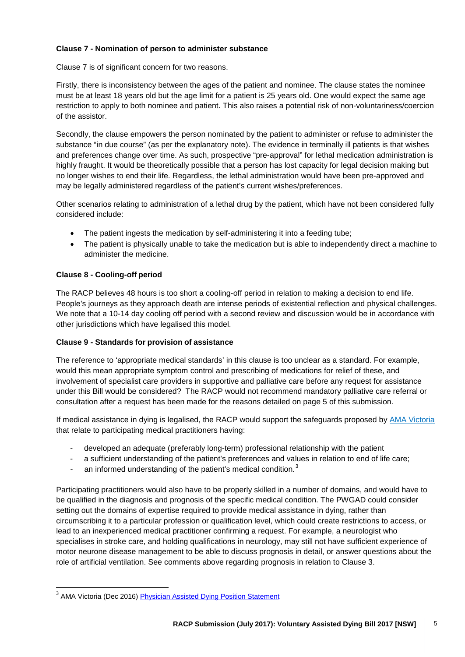## **Clause 7 - Nomination of person to administer substance**

Clause 7 is of significant concern for two reasons.

Firstly, there is inconsistency between the ages of the patient and nominee. The clause states the nominee must be at least 18 years old but the age limit for a patient is 25 years old. One would expect the same age restriction to apply to both nominee and patient. This also raises a potential risk of non-voluntariness/coercion of the assistor.

Secondly, the clause empowers the person nominated by the patient to administer or refuse to administer the substance "in due course" (as per the explanatory note). The evidence in terminally ill patients is that wishes and preferences change over time. As such, prospective "pre-approval" for lethal medication administration is highly fraught. It would be theoretically possible that a person has lost capacity for legal decision making but no longer wishes to end their life. Regardless, the lethal administration would have been pre-approved and may be legally administered regardless of the patient's current wishes/preferences.

Other scenarios relating to administration of a lethal drug by the patient, which have not been considered fully considered include:

- The patient ingests the medication by self-administering it into a feeding tube;
- The patient is physically unable to take the medication but is able to independently direct a machine to administer the medicine.

## **Clause 8 - Cooling-off period**

The RACP believes 48 hours is too short a cooling-off period in relation to making a decision to end life. People's journeys as they approach death are intense periods of existential reflection and physical challenges. We note that a 10-14 day cooling off period with a second review and discussion would be in accordance with other jurisdictions which have legalised this model.

#### **Clause 9 - Standards for provision of assistance**

The reference to 'appropriate medical standards' in this clause is too unclear as a standard. For example, would this mean appropriate symptom control and prescribing of medications for relief of these, and involvement of specialist care providers in supportive and palliative care before any request for assistance under this Bill would be considered? The RACP would not recommend mandatory palliative care referral or consultation after a request has been made for the reasons detailed on page 5 of this submission.

If medical assistance in dying is legalised, the RACP would support the safeguards proposed by AMA [Victoria](http://amavic.com.au/page/News/Physician_Assisted_Dying/) that relate to participating medical practitioners having:

- developed an adequate (preferably long-term) professional relationship with the patient
- a sufficient understanding of the patient's preferences and values in relation to end of life care;
- an informed understanding of the patient's medical condition.<sup>[3](#page-4-0)</sup>

Participating practitioners would also have to be properly skilled in a number of domains, and would have to be qualified in the diagnosis and prognosis of the specific medical condition. The PWGAD could consider setting out the domains of expertise required to provide medical assistance in dying, rather than circumscribing it to a particular profession or qualification level, which could create restrictions to access, or lead to an inexperienced medical practitioner confirming a request. For example, a neurologist who specialises in stroke care, and holding qualifications in neurology, may still not have sufficient experience of motor neurone disease management to be able to discuss prognosis in detail, or answer questions about the role of artificial ventilation. See comments above regarding prognosis in relation to Clause 3.

<span id="page-4-0"></span><sup>&</sup>lt;sup>3</sup> AMA Victoria (Dec 2016) **Physician Assisted Dying Position Statement**  $\frac{1}{3}$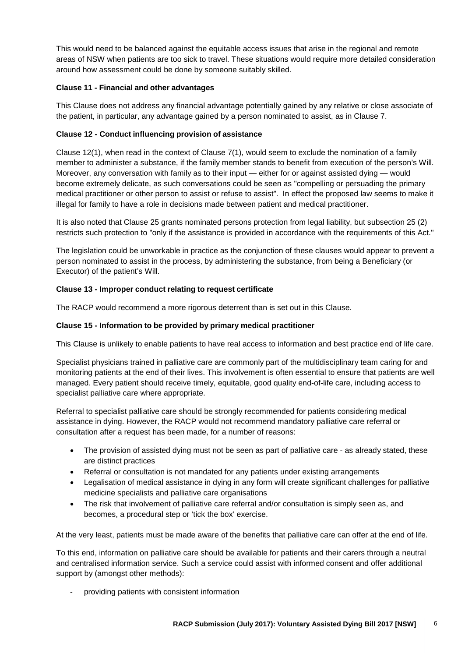This would need to be balanced against the equitable access issues that arise in the regional and remote areas of NSW when patients are too sick to travel. These situations would require more detailed consideration around how assessment could be done by someone suitably skilled.

## **Clause 11 - Financial and other advantages**

This Clause does not address any financial advantage potentially gained by any relative or close associate of the patient, in particular, any advantage gained by a person nominated to assist, as in Clause 7.

## **Clause 12 - Conduct influencing provision of assistance**

Clause 12(1), when read in the context of Clause 7(1), would seem to exclude the nomination of a family member to administer a substance, if the family member stands to benefit from execution of the person's Will. Moreover, any conversation with family as to their input — either for or against assisted dying — would become extremely delicate, as such conversations could be seen as "compelling or persuading the primary medical practitioner or other person to assist or refuse to assist". In effect the proposed law seems to make it illegal for family to have a role in decisions made between patient and medical practitioner.

It is also noted that Clause 25 grants nominated persons protection from legal liability, but subsection 25 (2) restricts such protection to "only if the assistance is provided in accordance with the requirements of this Act."

The legislation could be unworkable in practice as the conjunction of these clauses would appear to prevent a person nominated to assist in the process, by administering the substance, from being a Beneficiary (or Executor) of the patient's Will.

## **Clause 13 - Improper conduct relating to request certificate**

The RACP would recommend a more rigorous deterrent than is set out in this Clause.

### **Clause 15 - Information to be provided by primary medical practitioner**

This Clause is unlikely to enable patients to have real access to information and best practice end of life care.

Specialist physicians trained in palliative care are commonly part of the multidisciplinary team caring for and monitoring patients at the end of their lives. This involvement is often essential to ensure that patients are well managed. Every patient should receive timely, equitable, good quality end-of-life care, including access to specialist palliative care where appropriate.

Referral to specialist palliative care should be strongly recommended for patients considering medical assistance in dying. However, the RACP would not recommend mandatory palliative care referral or consultation after a request has been made, for a number of reasons:

- The provision of assisted dying must not be seen as part of palliative care as already stated, these are distinct practices
- Referral or consultation is not mandated for any patients under existing arrangements
- Legalisation of medical assistance in dying in any form will create significant challenges for palliative medicine specialists and palliative care organisations
- The risk that involvement of palliative care referral and/or consultation is simply seen as, and becomes, a procedural step or 'tick the box' exercise.

At the very least, patients must be made aware of the benefits that palliative care can offer at the end of life.

To this end, information on palliative care should be available for patients and their carers through a neutral and centralised information service. Such a service could assist with informed consent and offer additional support by (amongst other methods):

providing patients with consistent information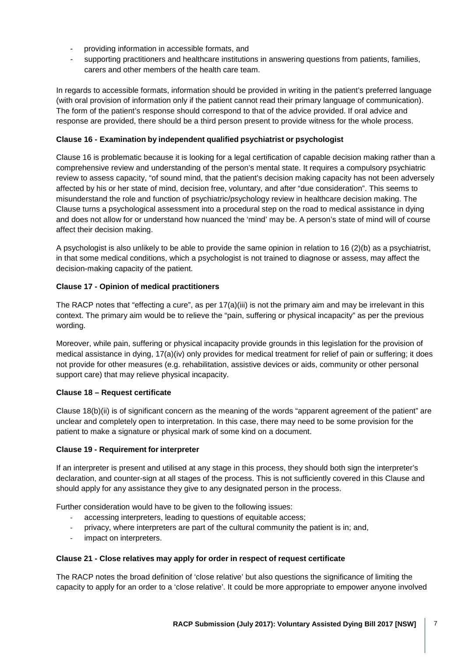- providing information in accessible formats, and
- supporting practitioners and healthcare institutions in answering questions from patients, families, carers and other members of the health care team.

In regards to accessible formats, information should be provided in writing in the patient's preferred language (with oral provision of information only if the patient cannot read their primary language of communication). The form of the patient's response should correspond to that of the advice provided. If oral advice and response are provided, there should be a third person present to provide witness for the whole process.

### **Clause 16 - Examination by independent qualified psychiatrist or psychologist**

Clause 16 is problematic because it is looking for a legal certification of capable decision making rather than a comprehensive review and understanding of the person's mental state. It requires a compulsory psychiatric review to assess capacity, "of sound mind, that the patient's decision making capacity has not been adversely affected by his or her state of mind, decision free, voluntary, and after "due consideration". This seems to misunderstand the role and function of psychiatric/psychology review in healthcare decision making. The Clause turns a psychological assessment into a procedural step on the road to medical assistance in dying and does not allow for or understand how nuanced the 'mind' may be. A person's state of mind will of course affect their decision making.

A psychologist is also unlikely to be able to provide the same opinion in relation to 16 (2)(b) as a psychiatrist, in that some medical conditions, which a psychologist is not trained to diagnose or assess, may affect the decision-making capacity of the patient.

## **Clause 17 - Opinion of medical practitioners**

The RACP notes that "effecting a cure", as per  $17(a)(iii)$  is not the primary aim and may be irrelevant in this context. The primary aim would be to relieve the "pain, suffering or physical incapacity" as per the previous wording.

Moreover, while pain, suffering or physical incapacity provide grounds in this legislation for the provision of medical assistance in dying, 17(a)(iv) only provides for medical treatment for relief of pain or suffering; it does not provide for other measures (e.g. rehabilitation, assistive devices or aids, community or other personal support care) that may relieve physical incapacity.

#### **Clause 18 – Request certificate**

Clause 18(b)(ii) is of significant concern as the meaning of the words "apparent agreement of the patient" are unclear and completely open to interpretation. In this case, there may need to be some provision for the patient to make a signature or physical mark of some kind on a document.

#### **Clause 19 - Requirement for interpreter**

If an interpreter is present and utilised at any stage in this process, they should both sign the interpreter's declaration, and counter-sign at all stages of the process. This is not sufficiently covered in this Clause and should apply for any assistance they give to any designated person in the process.

Further consideration would have to be given to the following issues:

- accessing interpreters, leading to questions of equitable access;
- privacy, where interpreters are part of the cultural community the patient is in; and,
- impact on interpreters.

#### **Clause 21 - Close relatives may apply for order in respect of request certificate**

The RACP notes the broad definition of 'close relative' but also questions the significance of limiting the capacity to apply for an order to a 'close relative'. It could be more appropriate to empower anyone involved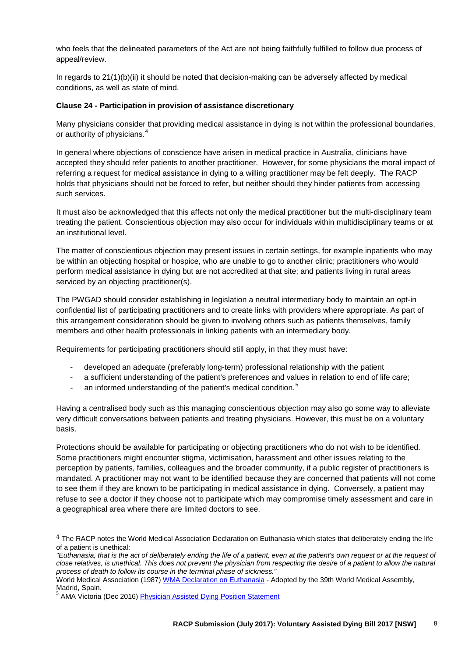who feels that the delineated parameters of the Act are not being faithfully fulfilled to follow due process of appeal/review.

In regards to 21(1)(b)(ii) it should be noted that decision-making can be adversely affected by medical conditions, as well as state of mind.

#### **Clause 24 - Participation in provision of assistance discretionary**

Many physicians consider that providing medical assistance in dying is not within the professional boundaries, or authority of physicians.<sup>[4](#page-7-0)</sup>

In general where objections of conscience have arisen in medical practice in Australia, clinicians have accepted they should refer patients to another practitioner. However, for some physicians the moral impact of referring a request for medical assistance in dying to a willing practitioner may be felt deeply. The RACP holds that physicians should not be forced to refer, but neither should they hinder patients from accessing such services.

It must also be acknowledged that this affects not only the medical practitioner but the multi-disciplinary team treating the patient. Conscientious objection may also occur for individuals within multidisciplinary teams or at an institutional level.

The matter of conscientious objection may present issues in certain settings, for example inpatients who may be within an objecting hospital or hospice, who are unable to go to another clinic; practitioners who would perform medical assistance in dying but are not accredited at that site; and patients living in rural areas serviced by an objecting practitioner(s).

The PWGAD should consider establishing in legislation a neutral intermediary body to maintain an opt-in confidential list of participating practitioners and to create links with providers where appropriate. As part of this arrangement consideration should be given to involving others such as patients themselves, family members and other health professionals in linking patients with an intermediary body.

Requirements for participating practitioners should still apply, in that they must have:

- developed an adequate (preferably long-term) professional relationship with the patient
- a sufficient understanding of the patient's preferences and values in relation to end of life care;
- an informed understanding of the patient's medical condition.<sup>[5](#page-7-1)</sup>

Having a centralised body such as this managing conscientious objection may also go some way to alleviate very difficult conversations between patients and treating physicians. However, this must be on a voluntary basis.

Protections should be available for participating or objecting practitioners who do not wish to be identified. Some practitioners might encounter stigma, victimisation, harassment and other issues relating to the perception by patients, families, colleagues and the broader community, if a public register of practitioners is mandated. A practitioner may not want to be identified because they are concerned that patients will not come to see them if they are known to be participating in medical assistance in dying. Conversely, a patient may refuse to see a doctor if they choose not to participate which may compromise timely assessment and care in a geographical area where there are limited doctors to see.

i,

<span id="page-7-0"></span><sup>&</sup>lt;sup>4</sup> The RACP notes the World Medical Association Declaration on Euthanasia which states that deliberately ending the life of a patient is unethical:

*<sup>&</sup>quot;Euthanasia, that is the act of deliberately ending the life of a patient, even at the patient's own request or at the request of close relatives, is unethical. This does not prevent the physician from respecting the desire of a patient to allow the natural process of death to follow its course in the terminal phase of sickness."*

World Medical Association (1987[\) WMA Declaration on Euthanasia](http://www.wma.net/en/30publications/10policies/e13/) - Adopted by the 39th World Medical Assembly, Madrid, Spain.

<span id="page-7-1"></span>AMA Victoria (Dec 2016) [Physician Assisted Dying Position Statement](http://amavic.com.au/icms_docs/256418_AMA_Victoria_s_position_statement_on_physician_asssisted_dying.pdf)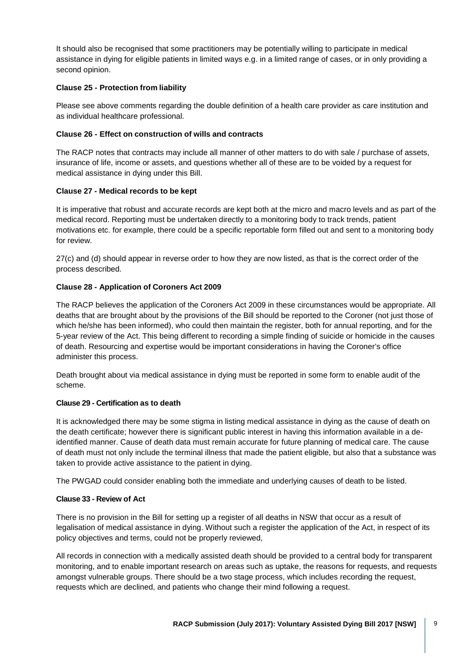It should also be recognised that some practitioners may be potentially willing to participate in medical assistance in dying for eligible patients in limited ways e.g. in a limited range of cases, or in only providing a second opinion.

## **Clause 25 - Protection from liability**

Please see above comments regarding the double definition of a health care provider as care institution and as individual healthcare professional.

## **Clause 26 - Effect on construction of wills and contracts**

The RACP notes that contracts may include all manner of other matters to do with sale / purchase of assets, insurance of life, income or assets, and questions whether all of these are to be voided by a request for medical assistance in dying under this Bill.

## **Clause 27 - Medical records to be kept**

It is imperative that robust and accurate records are kept both at the micro and macro levels and as part of the medical record. Reporting must be undertaken directly to a monitoring body to track trends, patient motivations etc. for example, there could be a specific reportable form filled out and sent to a monitoring body for review.

27(c) and (d) should appear in reverse order to how they are now listed, as that is the correct order of the process described.

## **Clause 28 - Application of Coroners Act 2009**

The RACP believes the application of the Coroners Act 2009 in these circumstances would be appropriate. All deaths that are brought about by the provisions of the Bill should be reported to the Coroner (not just those of which he/she has been informed), who could then maintain the register, both for annual reporting, and for the 5-year review of the Act. This being different to recording a simple finding of suicide or homicide in the causes of death. Resourcing and expertise would be important considerations in having the Coroner's office administer this process.

Death brought about via medical assistance in dying must be reported in some form to enable audit of the scheme.

#### **Clause 29 - Certification as to death**

It is acknowledged there may be some stigma in listing medical assistance in dying as the cause of death on the death certificate; however there is significant public interest in having this information available in a deidentified manner. Cause of death data must remain accurate for future planning of medical care. The cause of death must not only include the terminal illness that made the patient eligible, but also that a substance was taken to provide active assistance to the patient in dying.

The PWGAD could consider enabling both the immediate and underlying causes of death to be listed.

#### **Clause 33 - Review of Act**

There is no provision in the Bill for setting up a register of all deaths in NSW that occur as a result of legalisation of medical assistance in dying. Without such a register the application of the Act, in respect of its policy objectives and terms, could not be properly reviewed,

All records in connection with a medically assisted death should be provided to a central body for transparent monitoring, and to enable important research on areas such as uptake, the reasons for requests, and requests amongst vulnerable groups. There should be a two stage process, which includes recording the request, requests which are declined, and patients who change their mind following a request.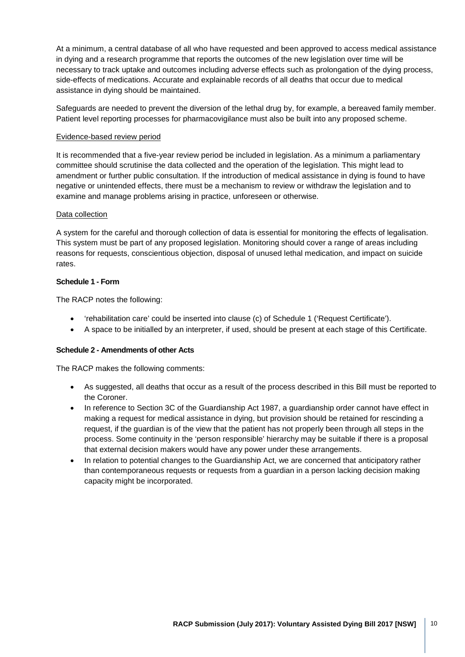At a minimum, a central database of all who have requested and been approved to access medical assistance in dying and a research programme that reports the outcomes of the new legislation over time will be necessary to track uptake and outcomes including adverse effects such as prolongation of the dying process, side-effects of medications. Accurate and explainable records of all deaths that occur due to medical assistance in dying should be maintained.

Safeguards are needed to prevent the diversion of the lethal drug by, for example, a bereaved family member. Patient level reporting processes for pharmacovigilance must also be built into any proposed scheme.

#### Evidence-based review period

It is recommended that a five-year review period be included in legislation. As a minimum a parliamentary committee should scrutinise the data collected and the operation of the legislation. This might lead to amendment or further public consultation. If the introduction of medical assistance in dying is found to have negative or unintended effects, there must be a mechanism to review or withdraw the legislation and to examine and manage problems arising in practice, unforeseen or otherwise.

#### Data collection

A system for the careful and thorough collection of data is essential for monitoring the effects of legalisation. This system must be part of any proposed legislation. Monitoring should cover a range of areas including reasons for requests, conscientious objection, disposal of unused lethal medication, and impact on suicide rates.

#### **Schedule 1 - Form**

The RACP notes the following:

- 'rehabilitation care' could be inserted into clause (c) of Schedule 1 ('Request Certificate').
- A space to be initialled by an interpreter, if used, should be present at each stage of this Certificate.

#### **Schedule 2 - Amendments of other Acts**

The RACP makes the following comments:

- As suggested, all deaths that occur as a result of the process described in this Bill must be reported to the Coroner.
- In reference to Section 3C of the Guardianship Act 1987, a guardianship order cannot have effect in making a request for medical assistance in dying, but provision should be retained for rescinding a request, if the guardian is of the view that the patient has not properly been through all steps in the process. Some continuity in the 'person responsible' hierarchy may be suitable if there is a proposal that external decision makers would have any power under these arrangements.
- In relation to potential changes to the Guardianship Act, we are concerned that anticipatory rather than contemporaneous requests or requests from a guardian in a person lacking decision making capacity might be incorporated.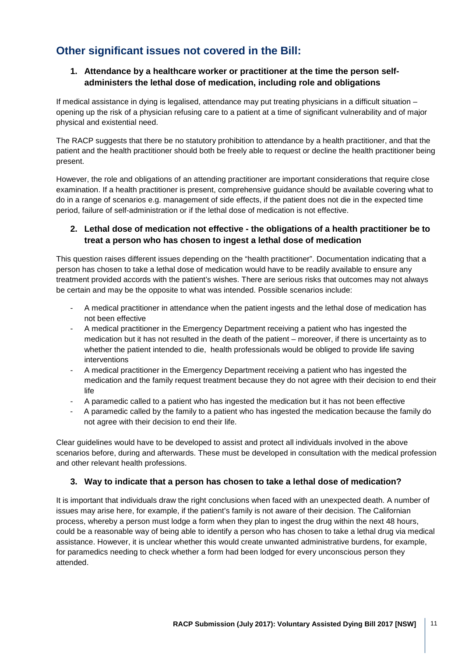## **Other significant issues not covered in the Bill:**

## **1. Attendance by a healthcare worker or practitioner at the time the person selfadministers the lethal dose of medication, including role and obligations**

If medical assistance in dying is legalised, attendance may put treating physicians in a difficult situation – opening up the risk of a physician refusing care to a patient at a time of significant vulnerability and of major physical and existential need.

The RACP suggests that there be no statutory prohibition to attendance by a health practitioner, and that the patient and the health practitioner should both be freely able to request or decline the health practitioner being present.

However, the role and obligations of an attending practitioner are important considerations that require close examination. If a health practitioner is present, comprehensive guidance should be available covering what to do in a range of scenarios e.g. management of side effects, if the patient does not die in the expected time period, failure of self-administration or if the lethal dose of medication is not effective.

## **2. Lethal dose of medication not effective - the obligations of a health practitioner be to treat a person who has chosen to ingest a lethal dose of medication**

This question raises different issues depending on the "health practitioner". Documentation indicating that a person has chosen to take a lethal dose of medication would have to be readily available to ensure any treatment provided accords with the patient's wishes. There are serious risks that outcomes may not always be certain and may be the opposite to what was intended. Possible scenarios include:

- A medical practitioner in attendance when the patient ingests and the lethal dose of medication has not been effective
- A medical practitioner in the Emergency Department receiving a patient who has ingested the medication but it has not resulted in the death of the patient – moreover, if there is uncertainty as to whether the patient intended to die, health professionals would be obliged to provide life saving interventions
- A medical practitioner in the Emergency Department receiving a patient who has ingested the medication and the family request treatment because they do not agree with their decision to end their life
- A paramedic called to a patient who has ingested the medication but it has not been effective
- A paramedic called by the family to a patient who has ingested the medication because the family do not agree with their decision to end their life.

Clear guidelines would have to be developed to assist and protect all individuals involved in the above scenarios before, during and afterwards. These must be developed in consultation with the medical profession and other relevant health professions.

## **3. Way to indicate that a person has chosen to take a lethal dose of medication?**

It is important that individuals draw the right conclusions when faced with an unexpected death. A number of issues may arise here, for example, if the patient's family is not aware of their decision. The Californian process, whereby a person must lodge a form when they plan to ingest the drug within the next 48 hours, could be a reasonable way of being able to identify a person who has chosen to take a lethal drug via medical assistance. However, it is unclear whether this would create unwanted administrative burdens, for example, for paramedics needing to check whether a form had been lodged for every unconscious person they attended.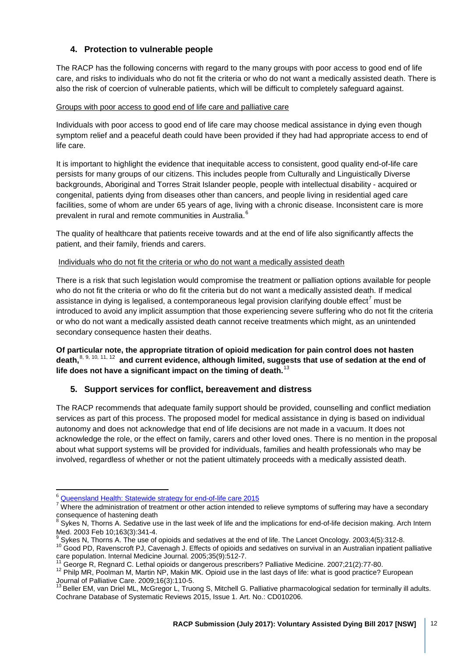## **4. Protection to vulnerable people**

The RACP has the following concerns with regard to the many groups with poor access to good end of life care, and risks to individuals who do not fit the criteria or who do not want a medically assisted death. There is also the risk of coercion of vulnerable patients, which will be difficult to completely safeguard against.

## Groups with poor access to good end of life care and palliative care

Individuals with poor access to good end of life care may choose medical assistance in dying even though symptom relief and a peaceful death could have been provided if they had had appropriate access to end of life care.

It is important to highlight the evidence that inequitable access to consistent, good quality end-of-life care persists for many groups of our citizens. This includes people from Culturally and Linguistically Diverse backgrounds, Aboriginal and Torres Strait Islander people, people with intellectual disability - acquired or congenital, patients dying from diseases other than cancers, and people living in residential aged care facilities, some of whom are under 65 years of age, living with a chronic disease. Inconsistent care is more prevalent in rural and remote communities in Australia.<sup>[6](#page-11-0)</sup>

The quality of healthcare that patients receive towards and at the end of life also significantly affects the patient, and their family, friends and carers.

## Individuals who do not fit the criteria or who do not want a medically assisted death

There is a risk that such legislation would compromise the treatment or palliation options available for people who do not fit the criteria or who do fit the criteria but do not want a medically assisted death. If medical assistance in dying is legalised, a contemporaneous legal provision clarifying double effect<sup>[7](#page-11-1)</sup> must be introduced to avoid any implicit assumption that those experiencing severe suffering who do not fit the criteria or who do not want a medically assisted death cannot receive treatments which might, as an unintended secondary consequence hasten their deaths.

**Of particular note, the appropriate titration of opioid medication for pain control does not hasten death,**[8,](#page-11-2) [9](#page-11-3), [10,](#page-11-4) [11,](#page-11-5) [12](#page-11-6) **and current evidence, although limited, suggests that use of sedation at the end of life does not have a significant impact on the timing of death.**[13](#page-11-7)

## **5. Support services for conflict, bereavement and distress**

The RACP recommends that adequate family support should be provided, counselling and conflict mediation services as part of this process. The proposed model for medical assistance in dying is based on individual autonomy and does not acknowledge that end of life decisions are not made in a vacuum. It does not acknowledge the role, or the effect on family, carers and other loved ones. There is no mention in the proposal about what support systems will be provided for individuals, families and health professionals who may be involved, regardless of whether or not the patient ultimately proceeds with a medically assisted death.

<span id="page-11-0"></span><sup>&</sup>lt;sup>6</sup> Queensland Health: Statewide strategy for end-of-life care 2015

<span id="page-11-1"></span><sup>&</sup>lt;sup>7</sup> Where the administration of treatment or other action intended to relieve symptoms of suffering may have a secondary consequence of hastening death

 $8$  Sykes N, Thorns A. Sedative use in the last week of life and the implications for end-of-life decision making. Arch Intern

<span id="page-11-4"></span>

<span id="page-11-3"></span><span id="page-11-2"></span>Med. 2003 Feb 10;163(3):341-4.<br><sup>9</sup> Sykes N, Thorns A. The use of opioids and sedatives at the end of life. The Lancet Oncology. 2003;4(5):312-8.<br><sup>10</sup> Good PD, Ravenscroft PJ, Cavenagh J. Effects of opioids and sedatives on

<span id="page-11-6"></span><span id="page-11-5"></span><sup>&</sup>lt;sup>11</sup> George R, Regnard C. Lethal opioids or dangerous prescribers? Palliative Medicine. 2007;21(2):77-80.<br><sup>12</sup> Philp MR, Poolman M, Martin NP, Makin MK. Opioid use in the last days of life: what is good practice? European<br>

<span id="page-11-7"></span><sup>&</sup>lt;sup>13</sup> Beller EM, van Driel ML, McGregor L, Truong S, Mitchell G. Palliative pharmacological sedation for terminally ill adults. Cochrane Database of Systematic Reviews 2015, Issue 1. Art. No.: CD010206.